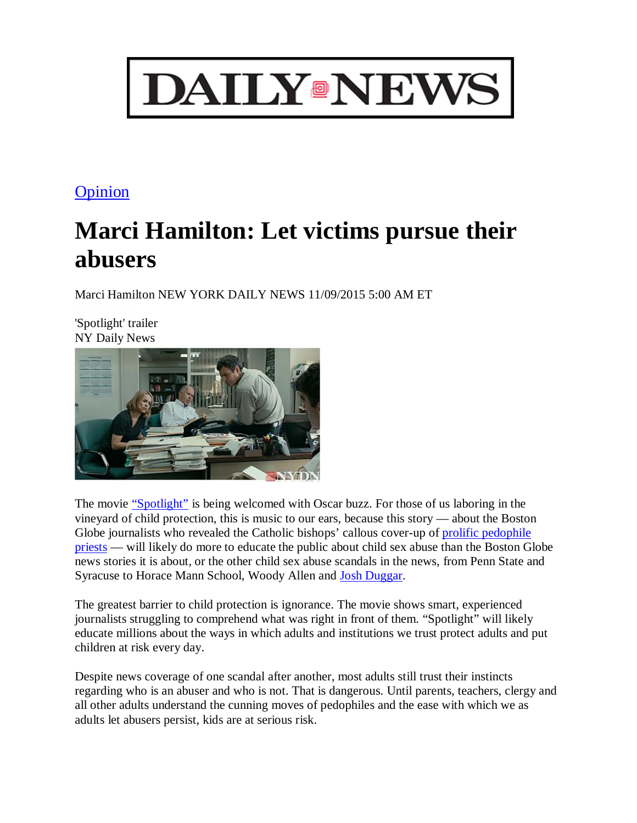

## **Opinion**

## **Marci Hamilton: Let victims pursue their abusers**

Marci Hamilton NEW YORK DAILY NEWS 11/09/2015 5:00 AM ET

'Spotlight' trailer NY Daily News



The movie "Spotlight" is being welcomed with Oscar buzz. For those of us laboring in the vineyard of child protection, this is music to our ears, because this story — about the Boston Globe journalists who revealed the Catholic bishops' callous cover-up of prolific pedophile priests — will likely do more to educate the public about child sex abuse than the Boston Globe news stories it is about, or the other child sex abuse scandals in the news, from Penn State and Syracuse to Horace Mann School, Woody Allen and Josh Duggar.

The greatest barrier to child protection is ignorance. The movie shows smart, experienced journalists struggling to comprehend what was right in front of them. "Spotlight" will likely educate millions about the ways in which adults and institutions we trust protect adults and put children at risk every day.

Despite news coverage of one scandal after another, most adults still trust their instincts regarding who is an abuser and who is not. That is dangerous. Until parents, teachers, clergy and all other adults understand the cunning moves of pedophiles and the ease with which we as adults let abusers persist, kids are at serious risk.